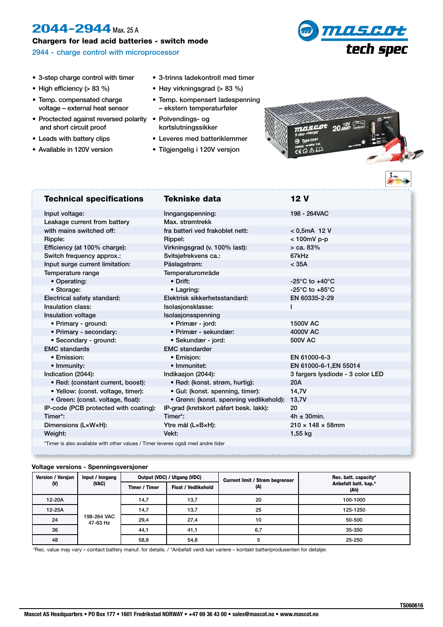## 2044-2944 Max. 25 A

Chargers for lead acid batteries - switch mode

2944 - charge control with microprocessor



- 3-step charge control with timer
- High efficiency (> 83 %)
- Temp. compensated charge voltage – external heat sensor
- Proctected against reversed polarity and short circuit proof
- Leads with battery clips
- Available in 120V version
- 3-trinns ladekontroll med timer
- Høy virkningsgrad (> 83 %)
- Temp. kompensert ladespenning – ekstern temperaturføler
- Polvendings- og kortslutningssikker
- Leveres med batteriklemmer
- Tilgjengelig i 120V versjon



## Technical specifications Tekniske data 12 V Input voltage: Inngangspenning: 198 - 264VAC Leakage current from battery Max. strømtrekk with mains switched off: fra batteri ved frakoblet nett: < 0.5mA 12 V Ripple: Rippel: < 100mV p-p Efficiency (at 100% charge):  $V$ irkningsgrad (v. 100% last):  $>$  ca. 83% Switch frequency approx.: Svitsjefrekvens ca.: 67kHz Input surge current limitation: Påslagstrøm: < 35A Temperature range Temperaturområde • Operating: • Drift: • Drift: • Drift: • 25°C to +40°C • Storage: • Lagring: • Lagring: • Change Company of the Storage: • 25°C to +85°C Electrical safety standard: Elektrisk sikkerhetsstandard: EN 60335-2-29 Insulation class: Isolasjonsklasse: I Insulation voltage **Insulation** voltage Isolasionsspenning • Primary - ground: • Primær - jord: 1500V AC • Primary - secondary: • Primær - sekundær: 4000V AC • Secondary - ground: • Sekundær - jord: 500V AC EMC standards EMC standarder • Emission: • Emisjon: EN 61000-6-3 • Immunity: • Immunitet: EN 61000-6-1,EN 55014 Indication (2044): Indikasjon (2044): 3 fargers lysdiode - 3 color LED • Red: (constant current, boost): • Rød: (konst. strøm, hurtig): 20A • Yellow: (const. voltage, timer): • Gul: (konst. spenning, timer): 14,7V • Green: (const. voltage, float): • Grønn: (konst. spenning vedlikehold): 13,7V IP-code (PCB protected with coating): IP-grad (kretskort påført besk. lakk): 20 Timer\*: Timer\*: 4h ± 30min. Dimensions (L×W×H): Ytre mål (L×B×H): 210 × 148 × 58mm Weight: Vekt: 1,55 kg \*Timer is also available with other values / Timer leveres også med andre tider

## **Voltage versions - Spenningsversjoner**

| Version / Version<br>(V) | Input / Inngang<br>(VAC) | Output (VDC) / Utgang (VDC) |                            | <b>Current limit / Strøm begrenser</b> | Rec. batt. capacity*         |
|--------------------------|--------------------------|-----------------------------|----------------------------|----------------------------------------|------------------------------|
|                          |                          | Timer / Timer               | <b>Float / Vedlikehold</b> | (A)                                    | Anbefalt batt. kap.*<br>(Ah) |
| 12-20A                   | 198-264 VAC<br>47-63 Hz  | 14,7                        | 13,7                       | 20                                     | 100-1000                     |
| $12-25A$                 |                          | 14,7                        | 13,7                       | 25                                     | 125-1250                     |
| 24                       |                          | 29,4                        | 27,4                       | 10                                     | 50-500                       |
| 36                       |                          | 44,1                        | 41,1                       | 6,7                                    | 35-350                       |
| 48                       |                          | 58,8                        | 54,8                       | 5                                      | 25-250                       |

\*Rec. value may vary – contact battery manuf. for details. / \*Anbefalt verdi kan variere – kontakt batteriprodusenten for detaljer.